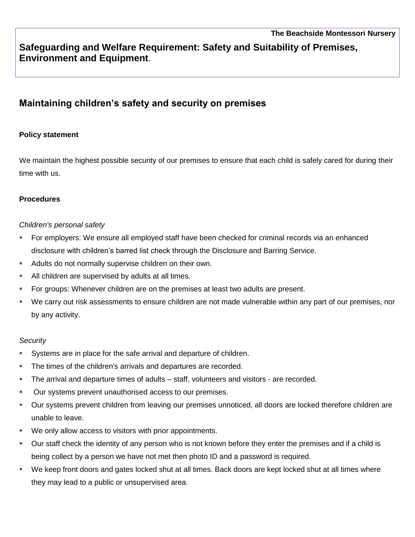## **Safeguarding and Welfare Requirement: Safety and Suitability of Premises, Environment and Equipment**.

# **Maintaining children's safety and security on premises**

### **Policy statement**

We maintain the highest possible security of our premises to ensure that each child is safely cared for during their time with us.

#### **Procedures**

#### *Children's personal safety*

- For employers: We ensure all employed staff have been checked for criminal records via an enhanced disclosure with children's barred list check through the Disclosure and Barring Service.
- Adults do not normally supervise children on their own.
- All children are supervised by adults at all times.
- For groups: Whenever children are on the premises at least two adults are present.
- We carry out risk assessments to ensure children are not made vulnerable within any part of our premises, nor by any activity.

#### *Security*

- Systems are in place for the safe arrival and departure of children.
- The times of the children's arrivals and departures are recorded.
- The arrival and departure times of adults staff, volunteers and visitors are recorded.
- Our systems prevent unauthorised access to our premises.
- Our systems prevent children from leaving our premises unnoticed, all doors are locked therefore children are unable to leave.
- We only allow access to visitors with prior appointments.
- Our staff check the identity of any person who is not known before they enter the premises and if a child is being collect by a person we have not met then photo ID and a password is required.
- We keep front doors and gates locked shut at all times. Back doors are kept locked shut at all times where they may lead to a public or unsupervised area.